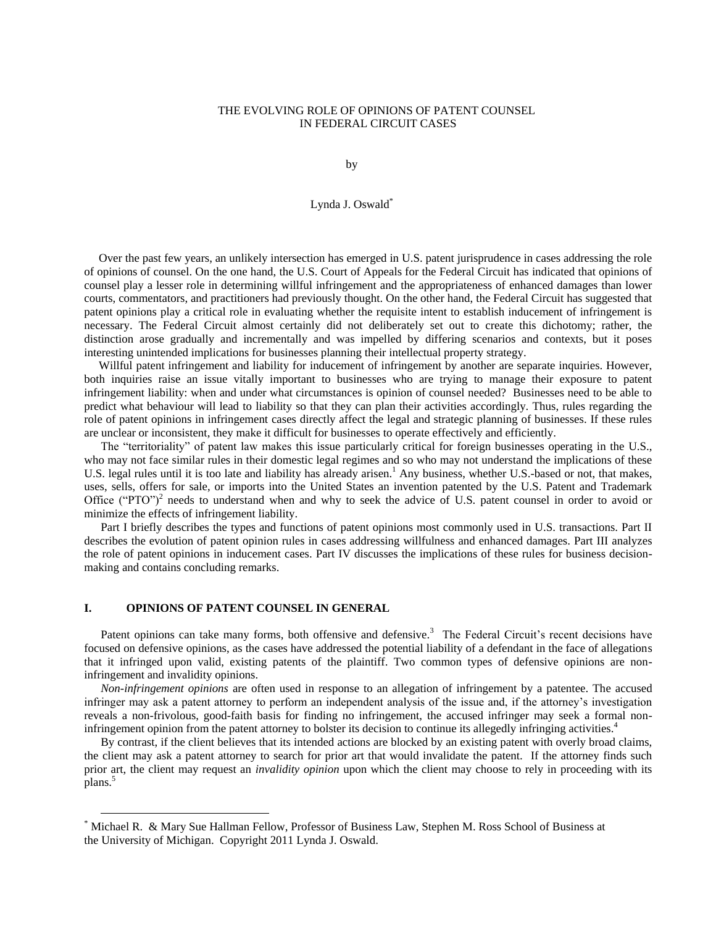## THE EVOLVING ROLE OF OPINIONS OF PATENT COUNSEL IN FEDERAL CIRCUIT CASES

by

## Lynda J. Oswald\*

 Over the past few years, an unlikely intersection has emerged in U.S. patent jurisprudence in cases addressing the role of opinions of counsel. On the one hand, the U.S. Court of Appeals for the Federal Circuit has indicated that opinions of counsel play a lesser role in determining willful infringement and the appropriateness of enhanced damages than lower courts, commentators, and practitioners had previously thought. On the other hand, the Federal Circuit has suggested that patent opinions play a critical role in evaluating whether the requisite intent to establish inducement of infringement is necessary. The Federal Circuit almost certainly did not deliberately set out to create this dichotomy; rather, the distinction arose gradually and incrementally and was impelled by differing scenarios and contexts, but it poses interesting unintended implications for businesses planning their intellectual property strategy.

 Willful patent infringement and liability for inducement of infringement by another are separate inquiries. However, both inquiries raise an issue vitally important to businesses who are trying to manage their exposure to patent infringement liability: when and under what circumstances is opinion of counsel needed? Businesses need to be able to predict what behaviour will lead to liability so that they can plan their activities accordingly. Thus, rules regarding the role of patent opinions in infringement cases directly affect the legal and strategic planning of businesses. If these rules are unclear or inconsistent, they make it difficult for businesses to operate effectively and efficiently.

The "territoriality" of patent law makes this issue particularly critical for foreign businesses operating in the U.S., who may not face similar rules in their domestic legal regimes and so who may not understand the implications of these U.S. legal rules until it is too late and liability has already arisen.<sup>1</sup> Any business, whether U.S.-based or not, that makes, uses, sells, offers for sale, or imports into the United States an invention patented by the U.S. Patent and Trademark Office ("PTO")<sup>2</sup> needs to understand when and why to seek the advice of U.S. patent counsel in order to avoid or minimize the effects of infringement liability.

Part I briefly describes the types and functions of patent opinions most commonly used in U.S. transactions. Part II describes the evolution of patent opinion rules in cases addressing willfulness and enhanced damages. Part III analyzes the role of patent opinions in inducement cases. Part IV discusses the implications of these rules for business decisionmaking and contains concluding remarks.

### **I. OPINIONS OF PATENT COUNSEL IN GENERAL**

 $\overline{a}$ 

Patent opinions can take many forms, both offensive and defensive.<sup>3</sup> The Federal Circuit's recent decisions have focused on defensive opinions, as the cases have addressed the potential liability of a defendant in the face of allegations that it infringed upon valid, existing patents of the plaintiff. Two common types of defensive opinions are noninfringement and invalidity opinions.

*Non-infringement opinions* are often used in response to an allegation of infringement by a patentee. The accused infringer may ask a patent attorney to perform an independent analysis of the issue and, if the attorney's investigation reveals a non-frivolous, good-faith basis for finding no infringement, the accused infringer may seek a formal noninfringement opinion from the patent attorney to bolster its decision to continue its allegedly infringing activities.<sup>4</sup>

By contrast, if the client believes that its intended actions are blocked by an existing patent with overly broad claims, the client may ask a patent attorney to search for prior art that would invalidate the patent. If the attorney finds such prior art, the client may request an *invalidity opinion* upon which the client may choose to rely in proceeding with its plans.<sup>5</sup>

<sup>\*</sup> Michael R. & Mary Sue Hallman Fellow, Professor of Business Law, Stephen M. Ross School of Business at the University of Michigan. Copyright 2011 Lynda J. Oswald.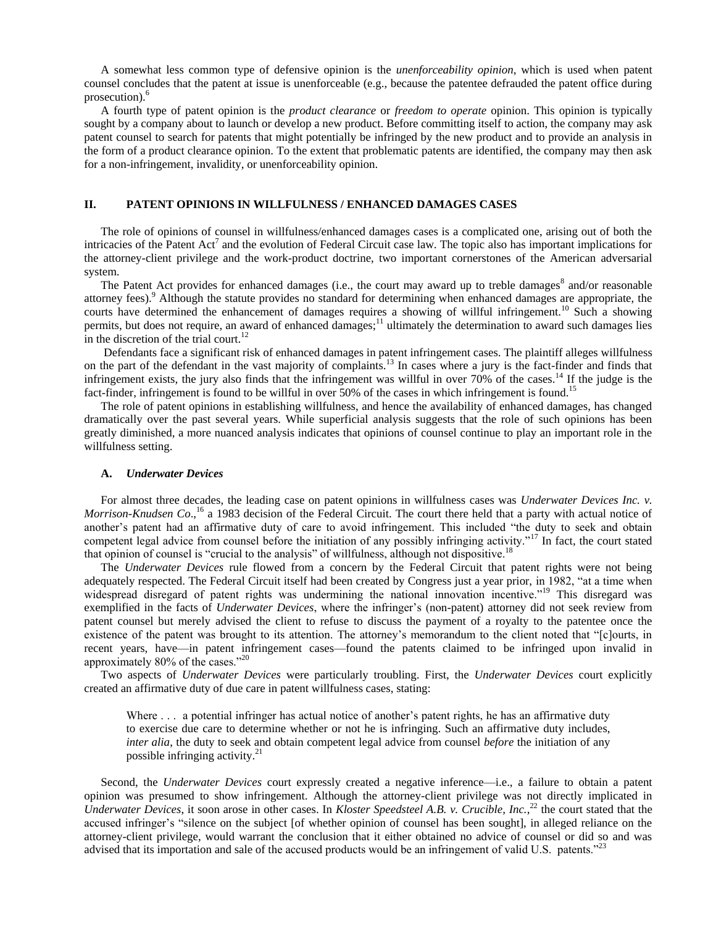A somewhat less common type of defensive opinion is the *unenforceability opinion*, which is used when patent counsel concludes that the patent at issue is unenforceable (e.g., because the patentee defrauded the patent office during prosecution).<sup>6</sup>

A fourth type of patent opinion is the *product clearance* or *freedom to operate* opinion. This opinion is typically sought by a company about to launch or develop a new product. Before committing itself to action, the company may ask patent counsel to search for patents that might potentially be infringed by the new product and to provide an analysis in the form of a product clearance opinion. To the extent that problematic patents are identified, the company may then ask for a non-infringement, invalidity, or unenforceability opinion.

## **II. PATENT OPINIONS IN WILLFULNESS / ENHANCED DAMAGES CASES**

The role of opinions of counsel in willfulness/enhanced damages cases is a complicated one, arising out of both the intricacies of the Patent  $Act^7$  and the evolution of Federal Circuit case law. The topic also has important implications for the attorney-client privilege and the work-product doctrine, two important cornerstones of the American adversarial system.

The Patent Act provides for enhanced damages (i.e., the court may award up to treble damages<sup>8</sup> and/or reasonable attorney fees).<sup>9</sup> Although the statute provides no standard for determining when enhanced damages are appropriate, the courts have determined the enhancement of damages requires a showing of willful infringement.<sup>10</sup> Such a showing permits, but does not require, an award of enhanced damages;<sup>11</sup> ultimately the determination to award such damages lies in the discretion of the trial court.<sup>12</sup>

Defendants face a significant risk of enhanced damages in patent infringement cases. The plaintiff alleges willfulness on the part of the defendant in the vast majority of complaints.<sup>13</sup> In cases where a jury is the fact-finder and finds that infringement exists, the jury also finds that the infringement was willful in over  $70\%$  of the cases.<sup>14</sup> If the judge is the fact-finder, infringement is found to be willful in over 50% of the cases in which infringement is found.<sup>15</sup>

The role of patent opinions in establishing willfulness, and hence the availability of enhanced damages, has changed dramatically over the past several years. While superficial analysis suggests that the role of such opinions has been greatly diminished, a more nuanced analysis indicates that opinions of counsel continue to play an important role in the willfulness setting.

### **A.** *Underwater Devices*

For almost three decades, the leading case on patent opinions in willfulness cases was *Underwater Devices Inc. v. Morrison-Knudsen Co*., <sup>16</sup> a 1983 decision of the Federal Circuit. The court there held that a party with actual notice of another's patent had an affirmative duty of care to avoid infringement. This included "the duty to seek and obtain competent legal advice from counsel before the initiation of any possibly infringing activity."<sup>17</sup> In fact, the court stated that opinion of counsel is "crucial to the analysis" of willfulness, although not dispositive.<sup>18</sup>

The *Underwater Devices* rule flowed from a concern by the Federal Circuit that patent rights were not being adequately respected. The Federal Circuit itself had been created by Congress just a year prior, in 1982, "at a time when widespread disregard of patent rights was undermining the national innovation incentive.<sup>19</sup> This disregard was exemplified in the facts of *Underwater Devices*, where the infringer's (non-patent) attorney did not seek review from patent counsel but merely advised the client to refuse to discuss the payment of a royalty to the patentee once the existence of the patent was brought to its attention. The attorney's memorandum to the client noted that "[c]ourts, in recent years, have—in patent infringement cases—found the patents claimed to be infringed upon invalid in approximately 80% of the cases."20

Two aspects of *Underwater Devices* were particularly troubling. First, the *Underwater Devices* court explicitly created an affirmative duty of due care in patent willfulness cases, stating:

Where  $\ldots$  a potential infringer has actual notice of another's patent rights, he has an affirmative duty to exercise due care to determine whether or not he is infringing. Such an affirmative duty includes, *inter alia*, the duty to seek and obtain competent legal advice from counsel *before* the initiation of any possible infringing activity.<sup>21</sup>

Second, the *Underwater Devices* court expressly created a negative inference—i.e., a failure to obtain a patent opinion was presumed to show infringement. Although the attorney-client privilege was not directly implicated in *Underwater Devices*, it soon arose in other cases. In *Kloster Speedsteel A.B. v. Crucible, Inc.*, <sup>22</sup> the court stated that the accused infringer's "silence on the subject [of whether opinion of counsel has been sought], in alleged reliance on the attorney-client privilege, would warrant the conclusion that it either obtained no advice of counsel or did so and was advised that its importation and sale of the accused products would be an infringement of valid U.S. patents.<sup>723</sup>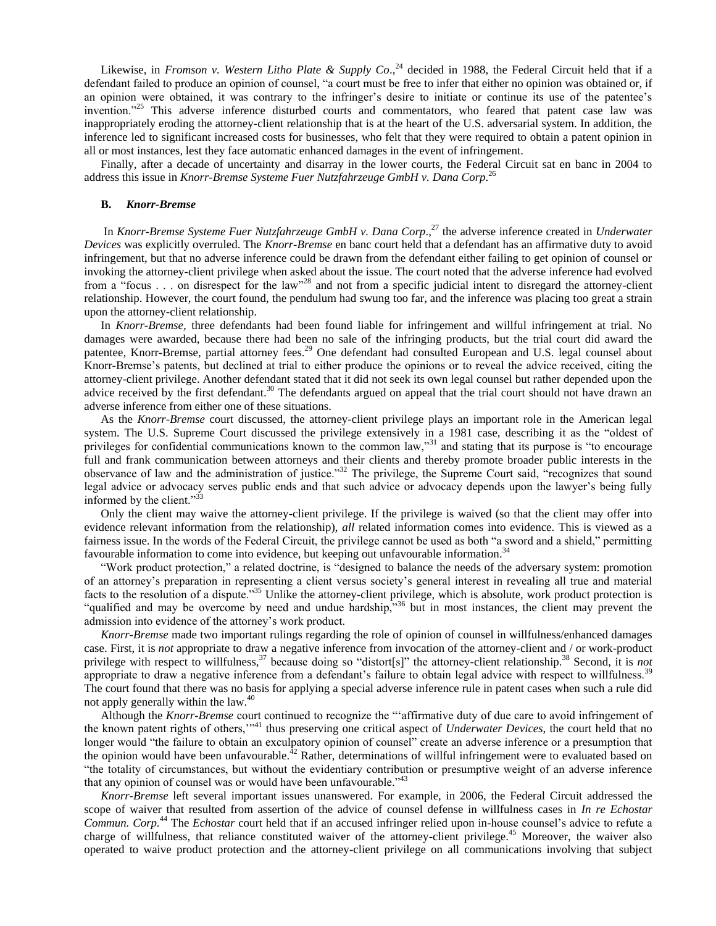Likewise, in *Fromson v. Western Litho Plate & Supply Co*., <sup>24</sup> decided in 1988, the Federal Circuit held that if a defendant failed to produce an opinion of counsel, "a court must be free to infer that either no opinion was obtained or, if an opinion were obtained, it was contrary to the infringer's desire to initiate or continue its use of the patentee's invention."<sup>25</sup> This adverse inference disturbed courts and commentators, who feared that patent case law was inappropriately eroding the attorney-client relationship that is at the heart of the U.S. adversarial system. In addition, the inference led to significant increased costs for businesses, who felt that they were required to obtain a patent opinion in all or most instances, lest they face automatic enhanced damages in the event of infringement.

Finally, after a decade of uncertainty and disarray in the lower courts, the Federal Circuit sat en banc in 2004 to address this issue in *Knorr-Bremse Systeme Fuer Nutzfahrzeuge GmbH v. Dana Corp*. 26

#### **B.** *Knorr-Bremse*

In *Knorr-Bremse Systeme Fuer Nutzfahrzeuge GmbH v. Dana Corp*., <sup>27</sup> the adverse inference created in *Underwater Devices* was explicitly overruled. The *Knorr-Bremse* en banc court held that a defendant has an affirmative duty to avoid infringement, but that no adverse inference could be drawn from the defendant either failing to get opinion of counsel or invoking the attorney-client privilege when asked about the issue. The court noted that the adverse inference had evolved from a "focus . . . on disrespect for the law"<sup>28</sup> and not from a specific judicial intent to disregard the attorney-client relationship. However, the court found, the pendulum had swung too far, and the inference was placing too great a strain upon the attorney-client relationship.

In *Knorr-Bremse,* three defendants had been found liable for infringement and willful infringement at trial. No damages were awarded, because there had been no sale of the infringing products, but the trial court did award the patentee, Knorr-Bremse, partial attorney fees.<sup>29</sup> One defendant had consulted European and U.S. legal counsel about Knorr-Bremse's patents, but declined at trial to either produce the opinions or to reveal the advice received, citing the attorney-client privilege. Another defendant stated that it did not seek its own legal counsel but rather depended upon the advice received by the first defendant.<sup>30</sup> The defendants argued on appeal that the trial court should not have drawn an adverse inference from either one of these situations.

As the *Knorr-Bremse* court discussed, the attorney-client privilege plays an important role in the American legal system. The U.S. Supreme Court discussed the privilege extensively in a 1981 case, describing it as the "oldest of privileges for confidential communications known to the common law,"<sup>31</sup> and stating that its purpose is "to encourage full and frank communication between attorneys and their clients and thereby promote broader public interests in the observance of law and the administration of justice.<sup>32</sup> The privilege, the Supreme Court said, "recognizes that sound legal advice or advocacy serves public ends and that such advice or advocacy depends upon the lawyer's being fully informed by the client." $33$ 

Only the client may waive the attorney-client privilege. If the privilege is waived (so that the client may offer into evidence relevant information from the relationship), *all* related information comes into evidence. This is viewed as a fairness issue. In the words of the Federal Circuit, the privilege cannot be used as both "a sword and a shield," permitting favourable information to come into evidence, but keeping out unfavourable information.<sup>34</sup>

"Work product protection," a related doctrine, is "designed to balance the needs of the adversary system: promotion of an attorney's preparation in representing a client versus society's general interest in revealing all true and material facts to the resolution of a dispute.<sup>355</sup> Unlike the attorney-client privilege, which is absolute, work product protection is "qualified and may be overcome by need and undue hardship,"<sup>36</sup> but in most instances, the client may prevent the admission into evidence of the attorney's work product.

*Knorr-Bremse* made two important rulings regarding the role of opinion of counsel in willfulness/enhanced damages case. First, it is *not* appropriate to draw a negative inference from invocation of the attorney-client and / or work-product privilege with respect to willfulness,<sup>37</sup> because doing so "distort[s]" the attorney-client relationship.<sup>38</sup> Second, it is *not* appropriate to draw a negative inference from a defendant's failure to obtain legal advice with respect to willfulness.<sup>39</sup> The court found that there was no basis for applying a special adverse inference rule in patent cases when such a rule did not apply generally within the law.<sup>40</sup>

Although the *Knorr-Bremse* court continued to recognize the "affirmative duty of due care to avoid infringement of the known patent rights of others,"<sup>41</sup> thus preserving one critical aspect of *Underwater Devices*, the court held that no longer would "the failure to obtain an exculpatory opinion of counsel" create an adverse inference or a presumption that the opinion would have been unfavourable.<sup>42</sup> Rather, determinations of willful infringement were to evaluated based on ―the totality of circumstances, but without the evidentiary contribution or presumptive weight of an adverse inference that any opinion of counsel was or would have been unfavourable.<sup> $343$ </sup>

*Knorr-Bremse* left several important issues unanswered. For example, in 2006, the Federal Circuit addressed the scope of waiver that resulted from assertion of the advice of counsel defense in willfulness cases in *In re Echostar Commun. Corp.*<sup>44</sup> The *Echostar* court held that if an accused infringer relied upon in-house counsel's advice to refute a charge of willfulness, that reliance constituted waiver of the attorney-client privilege.<sup>45</sup> Moreover, the waiver also operated to waive product protection and the attorney-client privilege on all communications involving that subject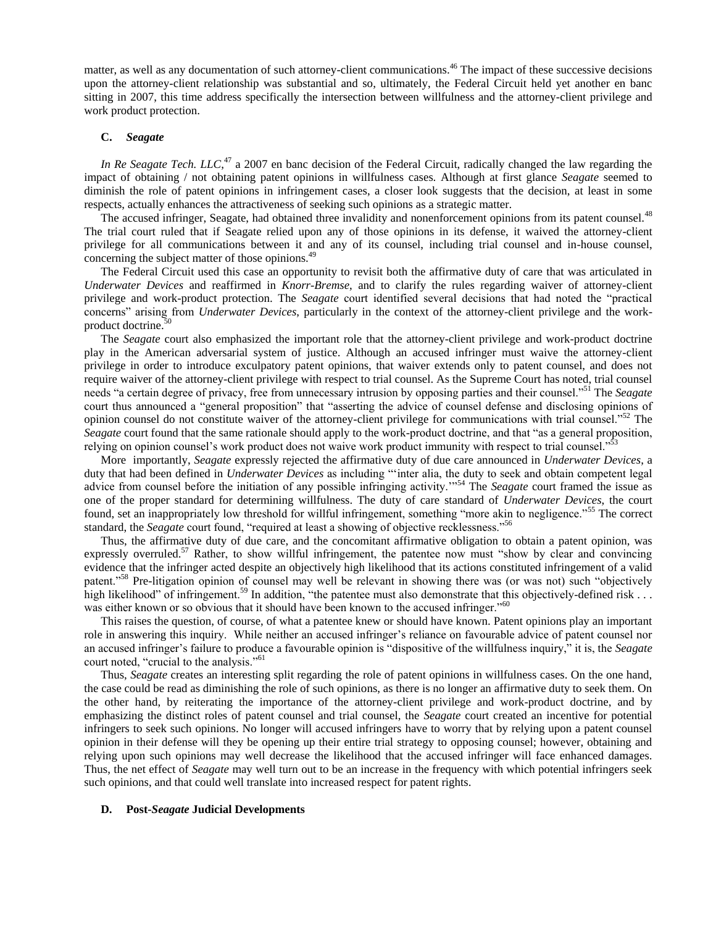matter, as well as any documentation of such attorney-client communications.<sup>46</sup> The impact of these successive decisions upon the attorney-client relationship was substantial and so, ultimately, the Federal Circuit held yet another en banc sitting in 2007, this time address specifically the intersection between willfulness and the attorney-client privilege and work product protection.

### **C.** *Seagate*

In Re Seagate Tech. LLC,<sup>47</sup> a 2007 en banc decision of the Federal Circuit, radically changed the law regarding the impact of obtaining / not obtaining patent opinions in willfulness cases. Although at first glance *Seagate* seemed to diminish the role of patent opinions in infringement cases, a closer look suggests that the decision, at least in some respects, actually enhances the attractiveness of seeking such opinions as a strategic matter.

The accused infringer, Seagate, had obtained three invalidity and nonenforcement opinions from its patent counsel.<sup>48</sup> The trial court ruled that if Seagate relied upon any of those opinions in its defense, it waived the attorney-client privilege for all communications between it and any of its counsel, including trial counsel and in-house counsel, concerning the subject matter of those opinions.<sup>49</sup>

The Federal Circuit used this case an opportunity to revisit both the affirmative duty of care that was articulated in *Underwater Devices* and reaffirmed in *Knorr-Bremse*, and to clarify the rules regarding waiver of attorney-client privilege and work-product protection. The *Seagate* court identified several decisions that had noted the "practical concerns‖ arising from *Underwater Devices*, particularly in the context of the attorney-client privilege and the workproduct doctrine.<sup>50</sup>

The *Seagate* court also emphasized the important role that the attorney-client privilege and work-product doctrine play in the American adversarial system of justice. Although an accused infringer must waive the attorney-client privilege in order to introduce exculpatory patent opinions, that waiver extends only to patent counsel, and does not require waiver of the attorney-client privilege with respect to trial counsel. As the Supreme Court has noted, trial counsel needs "a certain degree of privacy, free from unnecessary intrusion by opposing parties and their counsel."<sup>51</sup> The *Seagate* court thus announced a "general proposition" that "asserting the advice of counsel defense and disclosing opinions of opinion counsel do not constitute waiver of the attorney-client privilege for communications with trial counsel."<sup>52</sup> The *Seagate* court found that the same rationale should apply to the work-product doctrine, and that "as a general proposition, relying on opinion counsel's work product does not waive work product immunity with respect to trial counsel."<sup>53</sup>

More importantly, *Seagate* expressly rejected the affirmative duty of due care announced in *Underwater Devices*, a duty that had been defined in *Underwater Devices* as including ""inter alia, the duty to seek and obtain competent legal advice from counsel before the initiation of any possible infringing activity."<sup>54</sup> The *Seagate* court framed the issue as one of the proper standard for determining willfulness. The duty of care standard of *Underwater Devices*, the court found, set an inappropriately low threshold for willful infringement, something "more akin to negligence."<sup>55</sup> The correct standard, the *Seagate* court found, "required at least a showing of objective recklessness."<sup>56</sup>

Thus, the affirmative duty of due care, and the concomitant affirmative obligation to obtain a patent opinion, was expressly overruled.<sup>57</sup> Rather, to show willful infringement, the patentee now must "show by clear and convincing evidence that the infringer acted despite an objectively high likelihood that its actions constituted infringement of a valid patent.<sup>58</sup> Pre-litigation opinion of counsel may well be relevant in showing there was (or was not) such "objectively high likelihood" of infringement.<sup>59</sup> In addition, "the patentee must also demonstrate that this objectively-defined risk . . . was either known or so obvious that it should have been known to the accused infringer.<sup>800</sup>

This raises the question, of course, of what a patentee knew or should have known. Patent opinions play an important role in answering this inquiry. While neither an accused infringer's reliance on favourable advice of patent counsel nor an accused infringer's failure to produce a favourable opinion is "dispositive of the willfulness inquiry," it is, the *Seagate* court noted, "crucial to the analysis."<sup>61</sup>

Thus, *Seagate* creates an interesting split regarding the role of patent opinions in willfulness cases. On the one hand, the case could be read as diminishing the role of such opinions, as there is no longer an affirmative duty to seek them. On the other hand, by reiterating the importance of the attorney-client privilege and work-product doctrine, and by emphasizing the distinct roles of patent counsel and trial counsel, the *Seagate* court created an incentive for potential infringers to seek such opinions. No longer will accused infringers have to worry that by relying upon a patent counsel opinion in their defense will they be opening up their entire trial strategy to opposing counsel; however, obtaining and relying upon such opinions may well decrease the likelihood that the accused infringer will face enhanced damages. Thus, the net effect of *Seagate* may well turn out to be an increase in the frequency with which potential infringers seek such opinions, and that could well translate into increased respect for patent rights.

#### **D. Post-***Seagate* **Judicial Developments**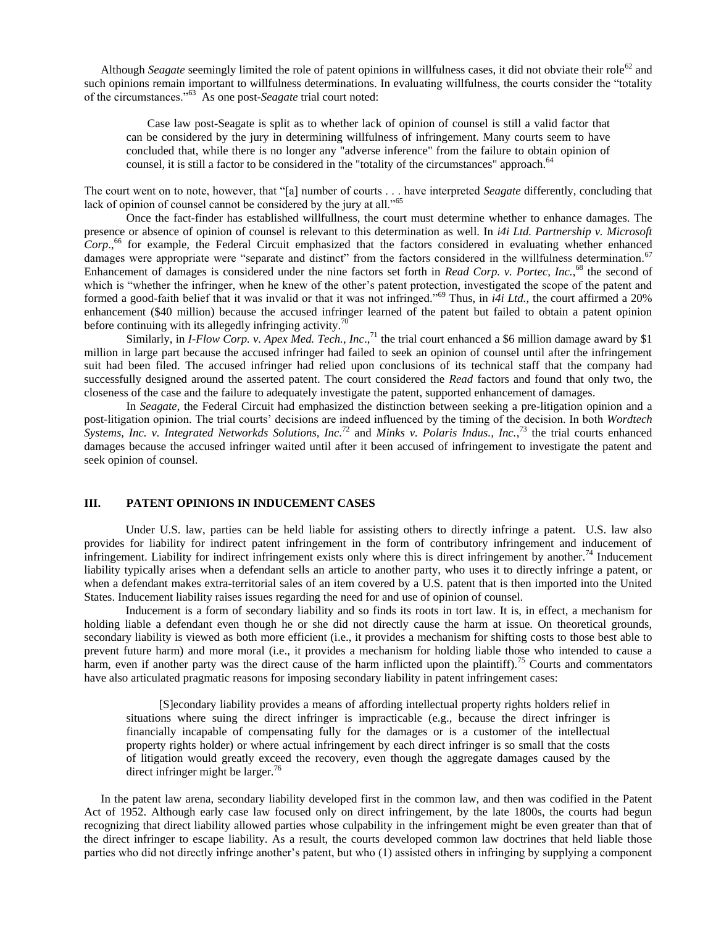Although *Seagate* seemingly limited the role of patent opinions in willfulness cases, it did not obviate their role<sup>62</sup> and such opinions remain important to willfulness determinations. In evaluating willfulness, the courts consider the "totality of the circumstances.<sup>563</sup> As one post-*Seagate* trial court noted:

Case law post-Seagate is split as to whether lack of opinion of counsel is still a valid factor that can be considered by the jury in determining willfulness of infringement. Many courts seem to have concluded that, while there is no longer any "adverse inference" from the failure to obtain opinion of counsel, it is still a factor to be considered in the "totality of the circumstances" approach.<sup>64</sup>

The court went on to note, however, that "[a] number of courts . . . have interpreted *Seagate* differently, concluding that lack of opinion of counsel cannot be considered by the jury at all."65

Once the fact-finder has established willfullness, the court must determine whether to enhance damages. The presence or absence of opinion of counsel is relevant to this determination as well. In *i4i Ltd. Partnership v. Microsoft*  Corp.,<sup>66</sup> for example, the Federal Circuit emphasized that the factors considered in evaluating whether enhanced damages were appropriate were "separate and distinct" from the factors considered in the willfulness determination.<sup>67</sup> Enhancement of damages is considered under the nine factors set forth in *Read Corp. v. Portec, Inc.*,<sup>68</sup> the second of which is "whether the infringer, when he knew of the other's patent protection, investigated the scope of the patent and formed a good-faith belief that it was invalid or that it was not infringed.<sup>569</sup> Thus, in  $i4i$  Ltd., the court affirmed a 20% enhancement (\$40 million) because the accused infringer learned of the patent but failed to obtain a patent opinion before continuing with its allegedly infringing activity.<sup>70</sup>

Similarly, in *I-Flow Corp. v. Apex Med. Tech., Inc.*,<sup>71</sup> the trial court enhanced a \$6 million damage award by \$1 million in large part because the accused infringer had failed to seek an opinion of counsel until after the infringement suit had been filed. The accused infringer had relied upon conclusions of its technical staff that the company had successfully designed around the asserted patent. The court considered the *Read* factors and found that only two, the closeness of the case and the failure to adequately investigate the patent, supported enhancement of damages.

In *Seagate*, the Federal Circuit had emphasized the distinction between seeking a pre-litigation opinion and a post-litigation opinion. The trial courts' decisions are indeed influenced by the timing of the decision. In both *Wordtech Systems, Inc. v. Integrated Networkds Solutions, Inc.*<sup>72</sup> and *Minks v. Polaris Indus., Inc.*, <sup>73</sup> the trial courts enhanced damages because the accused infringer waited until after it been accused of infringement to investigate the patent and seek opinion of counsel.

## **III. PATENT OPINIONS IN INDUCEMENT CASES**

Under U.S. law, parties can be held liable for assisting others to directly infringe a patent. U.S. law also provides for liability for indirect patent infringement in the form of contributory infringement and inducement of infringement. Liability for indirect infringement exists only where this is direct infringement by another.<sup>74</sup> Inducement liability typically arises when a defendant sells an article to another party, who uses it to directly infringe a patent, or when a defendant makes extra-territorial sales of an item covered by a U.S. patent that is then imported into the United States. Inducement liability raises issues regarding the need for and use of opinion of counsel.

Inducement is a form of secondary liability and so finds its roots in tort law. It is, in effect, a mechanism for holding liable a defendant even though he or she did not directly cause the harm at issue. On theoretical grounds, secondary liability is viewed as both more efficient (i.e., it provides a mechanism for shifting costs to those best able to prevent future harm) and more moral (i.e., it provides a mechanism for holding liable those who intended to cause a harm, even if another party was the direct cause of the harm inflicted upon the plaintiff).<sup>75</sup> Courts and commentators have also articulated pragmatic reasons for imposing secondary liability in patent infringement cases:

[S]econdary liability provides a means of affording intellectual property rights holders relief in situations where suing the direct infringer is impracticable (e.g., because the direct infringer is financially incapable of compensating fully for the damages or is a customer of the intellectual property rights holder) or where actual infringement by each direct infringer is so small that the costs of litigation would greatly exceed the recovery, even though the aggregate damages caused by the direct infringer might be larger.<sup>76</sup>

In the patent law arena, secondary liability developed first in the common law, and then was codified in the Patent Act of 1952. Although early case law focused only on direct infringement, by the late 1800s, the courts had begun recognizing that direct liability allowed parties whose culpability in the infringement might be even greater than that of the direct infringer to escape liability. As a result, the courts developed common law doctrines that held liable those parties who did not directly infringe another's patent, but who (1) assisted others in infringing by supplying a component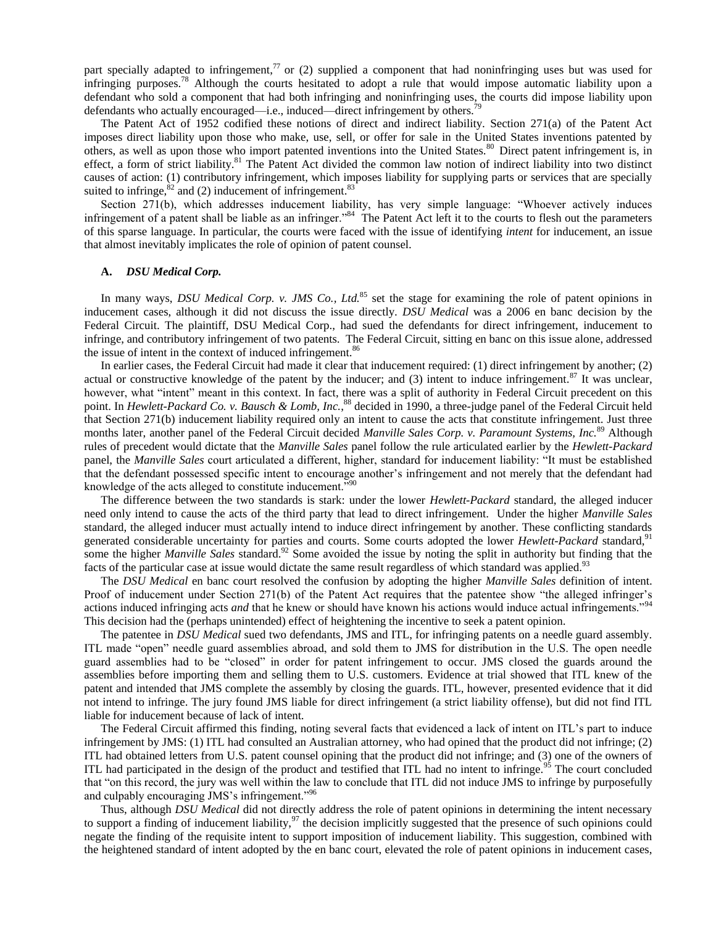part specially adapted to infringement,<sup>77</sup> or (2) supplied a component that had noninfringing uses but was used for infringing purposes.<sup>78</sup> Although the courts hesitated to adopt a rule that would impose automatic liability upon a defendant who sold a component that had both infringing and noninfringing uses, the courts did impose liability upon defendants who actually encouraged—i.e., induced—direct infringement by others.

The Patent Act of 1952 codified these notions of direct and indirect liability. Section 271(a) of the Patent Act imposes direct liability upon those who make, use, sell, or offer for sale in the United States inventions patented by others, as well as upon those who import patented inventions into the United States.<sup>80</sup> Direct patent infringement is, in effect, a form of strict liability.<sup>81</sup> The Patent Act divided the common law notion of indirect liability into two distinct causes of action: (1) contributory infringement, which imposes liability for supplying parts or services that are specially suited to infringe,  ${}^{82}$  and (2) inducement of infringement. ${}^{83}$ 

Section 271(b), which addresses inducement liability, has very simple language: "Whoever actively induces infringement of a patent shall be liable as an infringer."<sup>84</sup> The Patent Act left it to the courts to flesh out the parameters of this sparse language. In particular, the courts were faced with the issue of identifying *intent* for inducement, an issue that almost inevitably implicates the role of opinion of patent counsel.

### **A.** *DSU Medical Corp.*

In many ways, *DSU Medical Corp. v. JMS Co., Ltd.*<sup>85</sup> set the stage for examining the role of patent opinions in inducement cases, although it did not discuss the issue directly. *DSU Medical* was a 2006 en banc decision by the Federal Circuit. The plaintiff, DSU Medical Corp., had sued the defendants for direct infringement, inducement to infringe, and contributory infringement of two patents. The Federal Circuit, sitting en banc on this issue alone, addressed the issue of intent in the context of induced infringement.<sup>86</sup>

In earlier cases, the Federal Circuit had made it clear that inducement required: (1) direct infringement by another; (2) actual or constructive knowledge of the patent by the inducer; and  $(3)$  intent to induce infringement.<sup>87</sup> It was unclear, however, what "intent" meant in this context. In fact, there was a split of authority in Federal Circuit precedent on this point. In *Hewlett-Packard Co. v. Bausch & Lomb, Inc.*, <sup>88</sup> decided in 1990, a three-judge panel of the Federal Circuit held that Section 271(b) inducement liability required only an intent to cause the acts that constitute infringement. Just three months later, another panel of the Federal Circuit decided *Manville Sales Corp. v. Paramount Systems, Inc.*<sup>89</sup> Although rules of precedent would dictate that the *Manville Sales* panel follow the rule articulated earlier by the *Hewlett-Packard* panel, the *Manville Sales* court articulated a different, higher, standard for inducement liability: "It must be established that the defendant possessed specific intent to encourage another's infringement and not merely that the defendant had knowledge of the acts alleged to constitute inducement.<sup>790</sup>

The difference between the two standards is stark: under the lower *Hewlett-Packard* standard, the alleged inducer need only intend to cause the acts of the third party that lead to direct infringement. Under the higher *Manville Sales* standard, the alleged inducer must actually intend to induce direct infringement by another. These conflicting standards generated considerable uncertainty for parties and courts. Some courts adopted the lower *Hewlett-Packard* standard,<sup>91</sup> some the higher *Manville Sales* standard.<sup>92</sup> Some avoided the issue by noting the split in authority but finding that the facts of the particular case at issue would dictate the same result regardless of which standard was applied.<sup>93</sup>

The *DSU Medical* en banc court resolved the confusion by adopting the higher *Manville Sales* definition of intent. Proof of inducement under Section 271(b) of the Patent Act requires that the patentee show "the alleged infringer's actions induced infringing acts *and* that he knew or should have known his actions would induce actual infringements.<sup>"94</sup> This decision had the (perhaps unintended) effect of heightening the incentive to seek a patent opinion.

The patentee in *DSU Medical* sued two defendants, JMS and ITL, for infringing patents on a needle guard assembly. ITL made "open" needle guard assemblies abroad, and sold them to JMS for distribution in the U.S. The open needle guard assemblies had to be "closed" in order for patent infringement to occur. JMS closed the guards around the assemblies before importing them and selling them to U.S. customers. Evidence at trial showed that ITL knew of the patent and intended that JMS complete the assembly by closing the guards. ITL, however, presented evidence that it did not intend to infringe. The jury found JMS liable for direct infringement (a strict liability offense), but did not find ITL liable for inducement because of lack of intent.

The Federal Circuit affirmed this finding, noting several facts that evidenced a lack of intent on ITL's part to induce infringement by JMS: (1) ITL had consulted an Australian attorney, who had opined that the product did not infringe; (2) ITL had obtained letters from U.S. patent counsel opining that the product did not infringe; and (3) one of the owners of ITL had participated in the design of the product and testified that ITL had no intent to infringe.<sup>95</sup> The court concluded that "on this record, the jury was well within the law to conclude that ITL did not induce JMS to infringe by purposefully and culpably encouraging JMS's infringement."<sup>96</sup>

Thus, although *DSU Medical* did not directly address the role of patent opinions in determining the intent necessary to support a finding of inducement liability, $97$  the decision implicitly suggested that the presence of such opinions could negate the finding of the requisite intent to support imposition of inducement liability. This suggestion, combined with the heightened standard of intent adopted by the en banc court, elevated the role of patent opinions in inducement cases,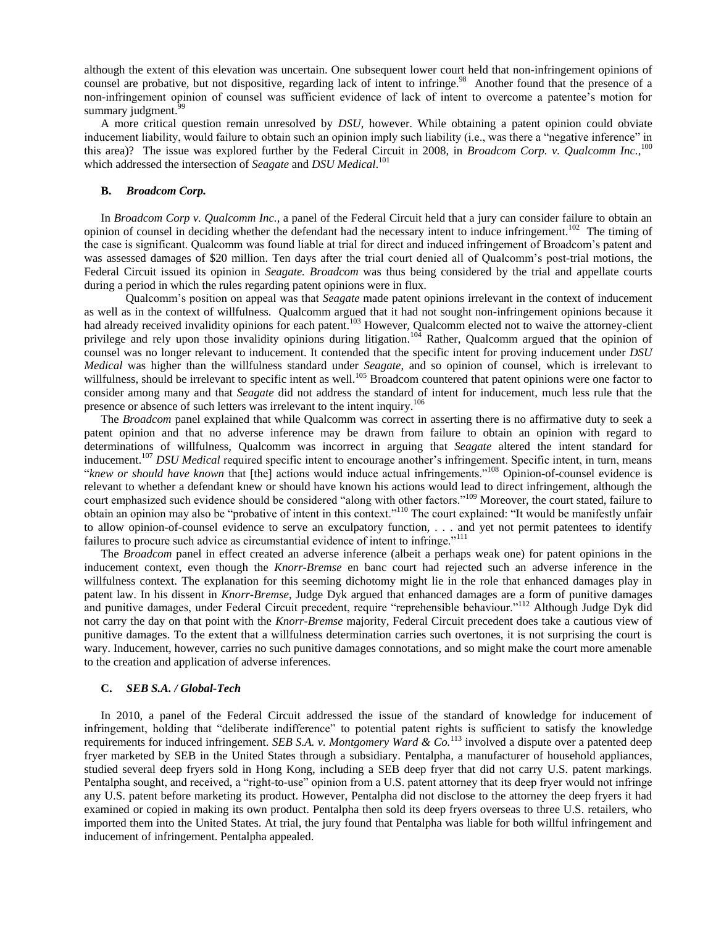although the extent of this elevation was uncertain. One subsequent lower court held that non-infringement opinions of counsel are probative, but not dispositive, regarding lack of intent to infringe.<sup>98</sup> Another found that the presence of a non-infringement opinion of counsel was sufficient evidence of lack of intent to overcome a patentee's motion for summary judgment.<sup>9</sup>

A more critical question remain unresolved by *DSU*, however. While obtaining a patent opinion could obviate inducement liability, would failure to obtain such an opinion imply such liability (i.e., was there a "negative inference" in this area)? The issue was explored further by the Federal Circuit in 2008, in *Broadcom Corp. v. Qualcomm Inc.*,<sup>100</sup> which addressed the intersection of *Seagate* and *DSU Medical*. 101

### **B.** *Broadcom Corp.*

In *Broadcom Corp v. Qualcomm Inc.*, a panel of the Federal Circuit held that a jury can consider failure to obtain an opinion of counsel in deciding whether the defendant had the necessary intent to induce infringement.<sup>102</sup> The timing of the case is significant. Qualcomm was found liable at trial for direct and induced infringement of Broadcom's patent and was assessed damages of \$20 million. Ten days after the trial court denied all of Qualcomm's post-trial motions, the Federal Circuit issued its opinion in *Seagate. Broadcom* was thus being considered by the trial and appellate courts during a period in which the rules regarding patent opinions were in flux.

Qualcomm's position on appeal was that *Seagate* made patent opinions irrelevant in the context of inducement as well as in the context of willfulness. Qualcomm argued that it had not sought non-infringement opinions because it had already received invalidity opinions for each patent.<sup>103</sup> However, Qualcomm elected not to waive the attorney-client privilege and rely upon those invalidity opinions during litigation.<sup>104</sup> Rather, Qualcomm argued that the opinion of counsel was no longer relevant to inducement. It contended that the specific intent for proving inducement under *DSU Medical* was higher than the willfulness standard under *Seagate*, and so opinion of counsel, which is irrelevant to willfulness, should be irrelevant to specific intent as well.<sup>105</sup> Broadcom countered that patent opinions were one factor to consider among many and that *Seagate* did not address the standard of intent for inducement, much less rule that the presence or absence of such letters was irrelevant to the intent inquiry.<sup>106</sup>

The *Broadcom* panel explained that while Qualcomm was correct in asserting there is no affirmative duty to seek a patent opinion and that no adverse inference may be drawn from failure to obtain an opinion with regard to determinations of willfulness, Qualcomm was incorrect in arguing that *Seagate* altered the intent standard for inducement.<sup>107</sup> *DSU Medical* required specific intent to encourage another's infringement. Specific intent, in turn, means "knew or should have known that [the] actions would induce actual infringements."<sup>108</sup> Opinion-of-counsel evidence is relevant to whether a defendant knew or should have known his actions would lead to direct infringement, although the court emphasized such evidence should be considered "along with other factors."<sup>109</sup> Moreover, the court stated, failure to obtain an opinion may also be "probative of intent in this context."<sup>110</sup> The court explained: "It would be manifestly unfair to allow opinion-of-counsel evidence to serve an exculpatory function, . . . and yet not permit patentees to identify failures to procure such advice as circumstantial evidence of intent to infringe."<sup>111</sup>

The *Broadcom* panel in effect created an adverse inference (albeit a perhaps weak one) for patent opinions in the inducement context, even though the *Knorr-Bremse* en banc court had rejected such an adverse inference in the willfulness context. The explanation for this seeming dichotomy might lie in the role that enhanced damages play in patent law. In his dissent in *Knorr-Bremse*, Judge Dyk argued that enhanced damages are a form of punitive damages and punitive damages, under Federal Circuit precedent, require "reprehensible behaviour."<sup>112</sup> Although Judge Dyk did not carry the day on that point with the *Knorr-Bremse* majority, Federal Circuit precedent does take a cautious view of punitive damages. To the extent that a willfulness determination carries such overtones, it is not surprising the court is wary. Inducement, however, carries no such punitive damages connotations, and so might make the court more amenable to the creation and application of adverse inferences.

## **C.** *SEB S.A. / Global-Tech*

In 2010, a panel of the Federal Circuit addressed the issue of the standard of knowledge for inducement of infringement, holding that "deliberate indifference" to potential patent rights is sufficient to satisfy the knowledge requirements for induced infringement. *SEB S.A. v. Montgomery Ward & Co.*<sup>113</sup> involved a dispute over a patented deep fryer marketed by SEB in the United States through a subsidiary. Pentalpha, a manufacturer of household appliances, studied several deep fryers sold in Hong Kong, including a SEB deep fryer that did not carry U.S. patent markings. Pentalpha sought, and received, a "right-to-use" opinion from a U.S. patent attorney that its deep fryer would not infringe any U.S. patent before marketing its product. However, Pentalpha did not disclose to the attorney the deep fryers it had examined or copied in making its own product. Pentalpha then sold its deep fryers overseas to three U.S. retailers, who imported them into the United States. At trial, the jury found that Pentalpha was liable for both willful infringement and inducement of infringement. Pentalpha appealed.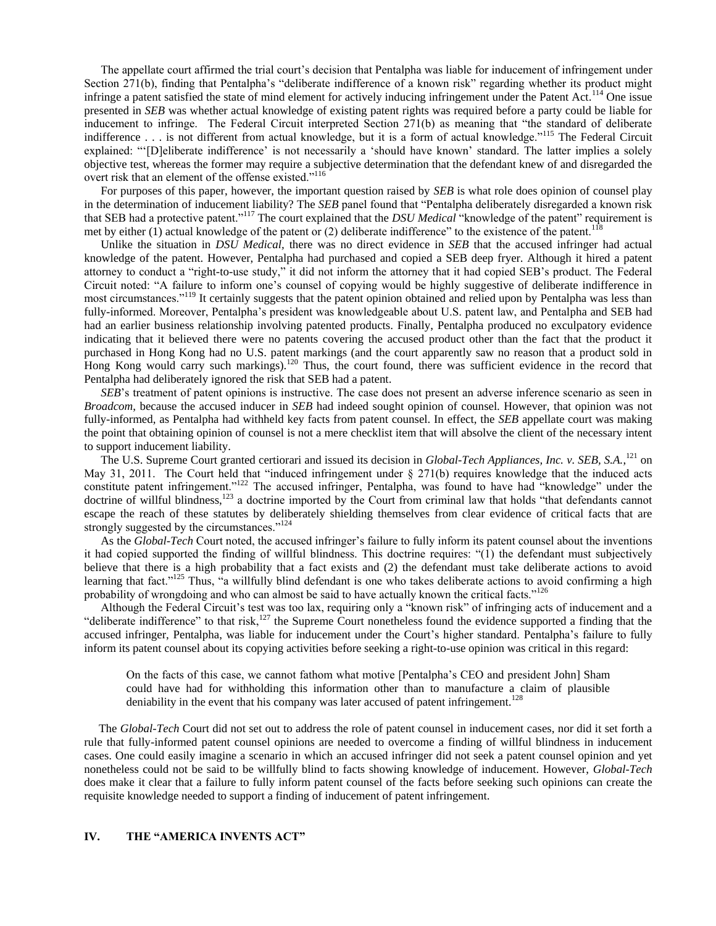The appellate court affirmed the trial court's decision that Pentalpha was liable for inducement of infringement under Section 271(b), finding that Pentalpha's "deliberate indifference of a known risk" regarding whether its product might infringe a patent satisfied the state of mind element for actively inducing infringement under the Patent Act.<sup>114</sup> One issue presented in *SEB* was whether actual knowledge of existing patent rights was required before a party could be liable for inducement to infringe. The Federal Circuit interpreted Section 271(b) as meaning that "the standard of deliberate indifference . . . is not different from actual knowledge, but it is a form of actual knowledge."<sup>115</sup> The Federal Circuit explained: "[D]eliberate indifference' is not necessarily a 'should have known' standard. The latter implies a solely objective test, whereas the former may require a subjective determination that the defendant knew of and disregarded the overt risk that an element of the offense existed."<sup>116</sup>

For purposes of this paper, however, the important question raised by *SEB* is what role does opinion of counsel play in the determination of inducement liability? The *SEB* panel found that "Pentalpha deliberately disregarded a known risk that SEB had a protective patent."<sup>117</sup> The court explained that the *DSU Medical* "knowledge of the patent" requirement is met by either (1) actual knowledge of the patent or (2) deliberate indifference" to the existence of the patent.<sup>118</sup>

Unlike the situation in *DSU Medical,* there was no direct evidence in *SEB* that the accused infringer had actual knowledge of the patent. However, Pentalpha had purchased and copied a SEB deep fryer. Although it hired a patent attorney to conduct a "right-to-use study," it did not inform the attorney that it had copied SEB's product. The Federal Circuit noted: ―A failure to inform one's counsel of copying would be highly suggestive of deliberate indifference in most circumstances."<sup>119</sup> It certainly suggests that the patent opinion obtained and relied upon by Pentalpha was less than fully-informed. Moreover, Pentalpha's president was knowledgeable about U.S. patent law, and Pentalpha and SEB had had an earlier business relationship involving patented products. Finally, Pentalpha produced no exculpatory evidence indicating that it believed there were no patents covering the accused product other than the fact that the product it purchased in Hong Kong had no U.S. patent markings (and the court apparently saw no reason that a product sold in Hong Kong would carry such markings).<sup>120</sup> Thus, the court found, there was sufficient evidence in the record that Pentalpha had deliberately ignored the risk that SEB had a patent.

*SEB*'s treatment of patent opinions is instructive. The case does not present an adverse inference scenario as seen in *Broadcom*, because the accused inducer in *SEB* had indeed sought opinion of counsel. However, that opinion was not fully-informed, as Pentalpha had withheld key facts from patent counsel. In effect, the *SEB* appellate court was making the point that obtaining opinion of counsel is not a mere checklist item that will absolve the client of the necessary intent to support inducement liability.

The U.S. Supreme Court granted certiorari and issued its decision in *Global-Tech Appliances, Inc. v. SEB, S.A.*,<sup>121</sup> on May 31, 2011. The Court held that "induced infringement under  $\S$  271(b) requires knowledge that the induced acts constitute patent infringement."<sup>122</sup> The accused infringer, Pentalpha, was found to have had "knowledge" under the doctrine of willful blindness,<sup>123</sup> a doctrine imported by the Court from criminal law that holds "that defendants cannot escape the reach of these statutes by deliberately shielding themselves from clear evidence of critical facts that are strongly suggested by the circumstances."<sup>124</sup>

As the *Global-Tech* Court noted, the accused infringer's failure to fully inform its patent counsel about the inventions it had copied supported the finding of willful blindness. This doctrine requires: "(1) the defendant must subjectively believe that there is a high probability that a fact exists and (2) the defendant must take deliberate actions to avoid learning that fact."<sup>125</sup> Thus, "a willfully blind defendant is one who takes deliberate actions to avoid confirming a high probability of wrongdoing and who can almost be said to have actually known the critical facts.<sup>126</sup>

Although the Federal Circuit's test was too lax, requiring only a "known risk" of infringing acts of inducement and a "deliberate indifference" to that risk, $127$  the Supreme Court nonetheless found the evidence supported a finding that the accused infringer, Pentalpha, was liable for inducement under the Court's higher standard. Pentalpha's failure to fully inform its patent counsel about its copying activities before seeking a right-to-use opinion was critical in this regard:

On the facts of this case, we cannot fathom what motive [Pentalpha's CEO and president John] Sham could have had for withholding this information other than to manufacture a claim of plausible deniability in the event that his company was later accused of patent infringement.<sup>128</sup>

 The *Global-Tech* Court did not set out to address the role of patent counsel in inducement cases, nor did it set forth a rule that fully-informed patent counsel opinions are needed to overcome a finding of willful blindness in inducement cases. One could easily imagine a scenario in which an accused infringer did not seek a patent counsel opinion and yet nonetheless could not be said to be willfully blind to facts showing knowledge of inducement. However, *Global-Tech* does make it clear that a failure to fully inform patent counsel of the facts before seeking such opinions can create the requisite knowledge needed to support a finding of inducement of patent infringement.

# **IV. THE "AMERICA INVENTS ACT"**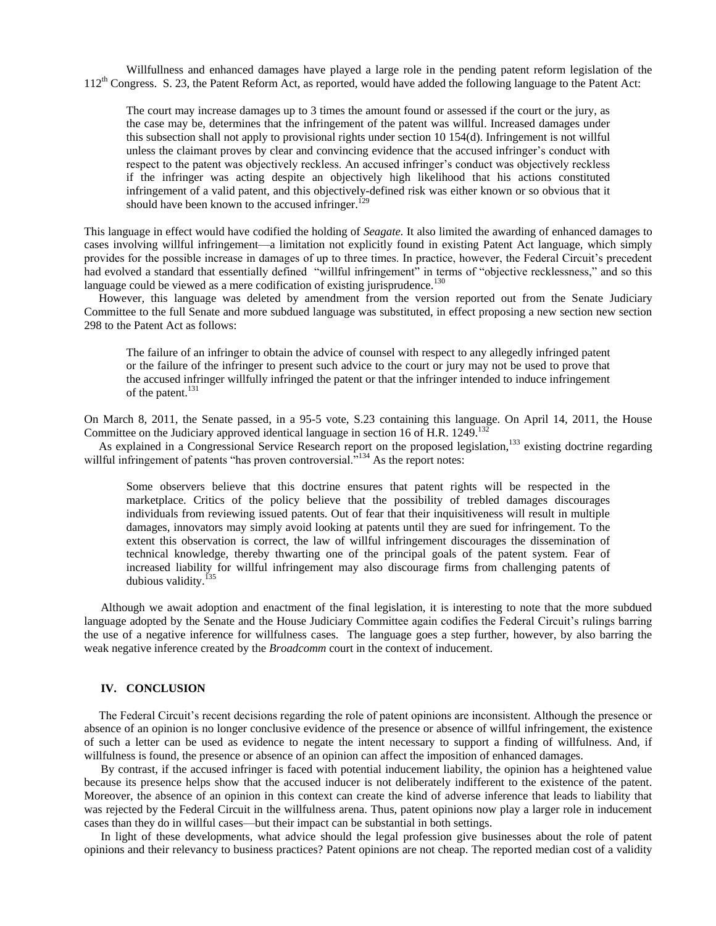Willfullness and enhanced damages have played a large role in the pending patent reform legislation of the 112<sup>th</sup> Congress. S. 23, the Patent Reform Act, as reported, would have added the following language to the Patent Act:

The court may increase damages up to 3 times the amount found or assessed if the court or the jury, as the case may be, determines that the infringement of the patent was willful. Increased damages under this subsection shall not apply to provisional rights under section 10 154(d). Infringement is not willful unless the claimant proves by clear and convincing evidence that the accused infringer's conduct with respect to the patent was objectively reckless. An accused infringer's conduct was objectively reckless if the infringer was acting despite an objectively high likelihood that his actions constituted infringement of a valid patent, and this objectively-defined risk was either known or so obvious that it should have been known to the accused infringer.<sup>129</sup>

This language in effect would have codified the holding of *Seagate.* It also limited the awarding of enhanced damages to cases involving willful infringement—a limitation not explicitly found in existing Patent Act language, which simply provides for the possible increase in damages of up to three times. In practice, however, the Federal Circuit's precedent had evolved a standard that essentially defined "willful infringement" in terms of "objective recklessness," and so this language could be viewed as a mere codification of existing jurisprudence.<sup>130</sup>

 However, this language was deleted by amendment from the version reported out from the Senate Judiciary Committee to the full Senate and more subdued language was substituted, in effect proposing a new section new section 298 to the Patent Act as follows:

The failure of an infringer to obtain the advice of counsel with respect to any allegedly infringed patent or the failure of the infringer to present such advice to the court or jury may not be used to prove that the accused infringer willfully infringed the patent or that the infringer intended to induce infringement of the patent.<sup>131</sup>

On March 8, 2011, the Senate passed, in a 95-5 vote, S.23 containing this language. On April 14, 2011, the House Committee on the Judiciary approved identical language in section 16 of H.R.  $1249$ <sup>13</sup>

As explained in a Congressional Service Research report on the proposed legislation,<sup>133</sup> existing doctrine regarding willful infringement of patents "has proven controversial."<sup>134</sup> As the report notes:

Some observers believe that this doctrine ensures that patent rights will be respected in the marketplace. Critics of the policy believe that the possibility of trebled damages discourages individuals from reviewing issued patents. Out of fear that their inquisitiveness will result in multiple damages, innovators may simply avoid looking at patents until they are sued for infringement. To the extent this observation is correct, the law of willful infringement discourages the dissemination of technical knowledge, thereby thwarting one of the principal goals of the patent system. Fear of increased liability for willful infringement may also discourage firms from challenging patents of dubious validity.<sup>1</sup>

Although we await adoption and enactment of the final legislation, it is interesting to note that the more subdued language adopted by the Senate and the House Judiciary Committee again codifies the Federal Circuit's rulings barring the use of a negative inference for willfulness cases. The language goes a step further, however, by also barring the weak negative inference created by the *Broadcomm* court in the context of inducement.

## **IV. CONCLUSION**

 The Federal Circuit's recent decisions regarding the role of patent opinions are inconsistent. Although the presence or absence of an opinion is no longer conclusive evidence of the presence or absence of willful infringement, the existence of such a letter can be used as evidence to negate the intent necessary to support a finding of willfulness. And, if willfulness is found, the presence or absence of an opinion can affect the imposition of enhanced damages.

By contrast, if the accused infringer is faced with potential inducement liability, the opinion has a heightened value because its presence helps show that the accused inducer is not deliberately indifferent to the existence of the patent. Moreover, the absence of an opinion in this context can create the kind of adverse inference that leads to liability that was rejected by the Federal Circuit in the willfulness arena. Thus, patent opinions now play a larger role in inducement cases than they do in willful cases—but their impact can be substantial in both settings.

In light of these developments, what advice should the legal profession give businesses about the role of patent opinions and their relevancy to business practices? Patent opinions are not cheap. The reported median cost of a validity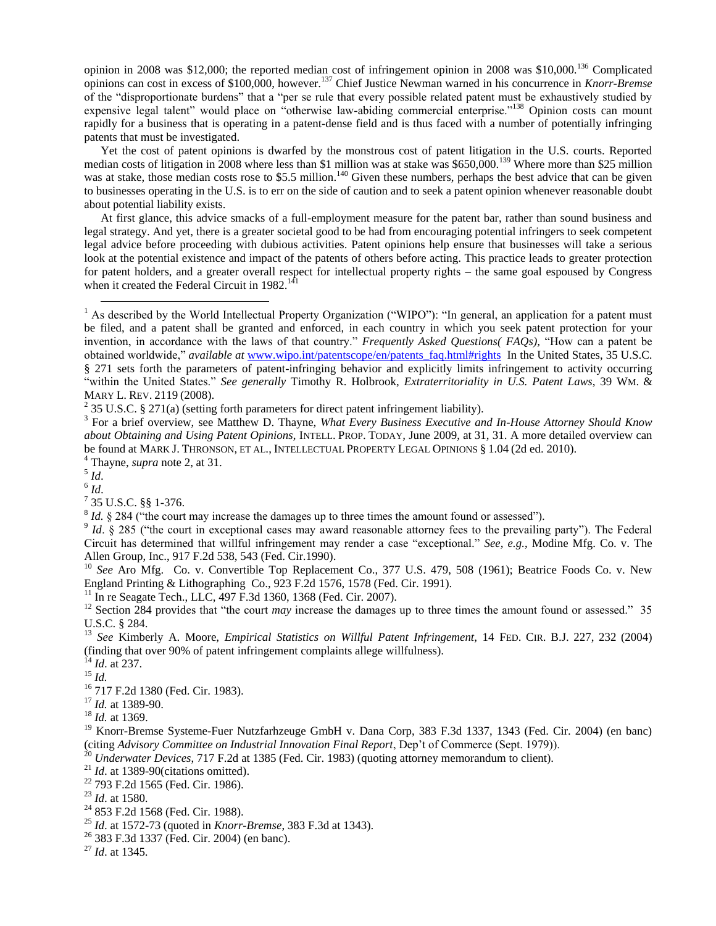opinion in 2008 was \$12,000; the reported median cost of infringement opinion in 2008 was \$10,000.<sup>136</sup> Complicated opinions can cost in excess of \$100,000, however.<sup>137</sup> Chief Justice Newman warned in his concurrence in *Knorr-Bremse* of the "disproportionate burdens" that a "per se rule that every possible related patent must be exhaustively studied by expensive legal talent" would place on "otherwise law-abiding commercial enterprise."<sup>138</sup> Opinion costs can mount rapidly for a business that is operating in a patent-dense field and is thus faced with a number of potentially infringing patents that must be investigated.

Yet the cost of patent opinions is dwarfed by the monstrous cost of patent litigation in the U.S. courts. Reported median costs of litigation in 2008 where less than \$1 million was at stake was \$650,000.<sup>139</sup> Where more than \$25 million was at stake, those median costs rose to \$5.5 million.<sup>140</sup> Given these numbers, perhaps the best advice that can be given to businesses operating in the U.S. is to err on the side of caution and to seek a patent opinion whenever reasonable doubt about potential liability exists.

At first glance, this advice smacks of a full-employment measure for the patent bar, rather than sound business and legal strategy. And yet, there is a greater societal good to be had from encouraging potential infringers to seek competent legal advice before proceeding with dubious activities. Patent opinions help ensure that businesses will take a serious look at the potential existence and impact of the patents of others before acting. This practice leads to greater protection for patent holders, and a greater overall respect for intellectual property rights – the same goal espoused by Congress when it created the Federal Circuit in  $1982$ <sup>141</sup>

<sup>2</sup> 35 U.S.C. § 271(a) (setting forth parameters for direct patent infringement liability).

5 *Id*.

 $\overline{a}$ 

6 *Id*.

 $^{7}$  35 U.S.C. §§ 1-376.

 $8$  *Id.*  $\S$  284 ("the court may increase the damages up to three times the amount found or assessed").

<sup>10</sup> See Aro Mfg. Co. v. Convertible Top Replacement Co., 377 U.S. 479, 508 (1961); Beatrice Foods Co. v. New England Printing & Lithographing Co., 923 F.2d 1576, 1578 (Fed. Cir. 1991).

<sup>11</sup> In re Seagate Tech., LLC, 497 F.3d 1360, 1368 (Fed. Cir. 2007).

<sup>13</sup> *See* Kimberly A. Moore, *Empirical Statistics on Willful Patent Infringement*, 14 FED. CIR. B.J. 227, 232 (2004) (finding that over 90% of patent infringement complaints allege willfulness).

<sup>19</sup> Knorr-Bremse Systeme-Fuer Nutzfarhzeuge GmbH v. Dana Corp, 383 F.3d 1337, 1343 (Fed. Cir. 2004) (en banc) (citing *Advisory Committee on Industrial Innovation Final Report*, Dep't of Commerce (Sept. 1979)).

- <sup>20</sup> *Underwater Devices*, 717 F.2d at 1385 (Fed. Cir. 1983) (quoting attorney memorandum to client).
- <sup>21</sup> *Id.* at 1389-90(citations omitted).

- <sup>25</sup> *Id*. at 1572-73 (quoted in *Knorr-Bremse*, 383 F.3d at 1343).
- <sup>26</sup> 383 F.3d 1337 (Fed. Cir. 2004) (en banc).
- <sup>27</sup> *Id*. at 1345.

 $<sup>1</sup>$  As described by the World Intellectual Property Organization ("WIPO"): "In general, an application for a patent must</sup> be filed, and a patent shall be granted and enforced, in each country in which you seek patent protection for your invention, in accordance with the laws of that country." *Frequently Asked Questions( FAQs)*, "How can a patent be obtained worldwide," *available at* [www.wipo.int/patentscope/en/patents\\_faq.html#rights](http://www.wipo.int/patentscope/en/patents_faq.html#rights) In the United States, 35 U.S.C. § 271 sets forth the parameters of patent-infringing behavior and explicitly limits infringement to activity occurring ―within the United States.‖ *See generally* Timothy R. Holbrook, *Extraterritoriality in U.S. Patent Laws*, 39 WM. & MARY L. REV. 2119 (2008).

<sup>3</sup> For a brief overview, see Matthew D. Thayne, *What Every Business Executive and In-House Attorney Should Know about Obtaining and Using Patent Opinions*, INTELL. PROP. TODAY*,* June 2009, at 31, 31. A more detailed overview can be found at MARK J. THRONSON, ET AL., INTELLECTUAL PROPERTY LEGAL OPINIONS § 1.04 (2d ed. 2010).

<sup>4</sup> Thayne, *supra* note 2, at 31.

 $9$  *Id.* § 285 ("the court in exceptional cases may award reasonable attorney fees to the prevailing party"). The Federal Circuit has determined that willful infringement may render a case "exceptional." *See, e.g.*, Modine Mfg. Co. v. The Allen Group, Inc., 917 F.2d 538, 543 (Fed. Cir.1990).

<sup>&</sup>lt;sup>12</sup> Section 284 provides that "the court *may* increase the damages up to three times the amount found or assessed." 35 U.S.C. § 284.

<sup>14</sup> *Id*. at 237.

<sup>15</sup> *Id.*

<sup>16</sup> 717 F.2d 1380 (Fed. Cir. 1983).

<sup>17</sup> *Id.* at 1389-90.

<sup>18</sup> *Id.* at 1369.

<sup>22</sup> 793 F.2d 1565 (Fed. Cir. 1986).

<sup>23</sup> *Id*. at 1580.

<sup>24</sup> 853 F.2d 1568 (Fed. Cir. 1988).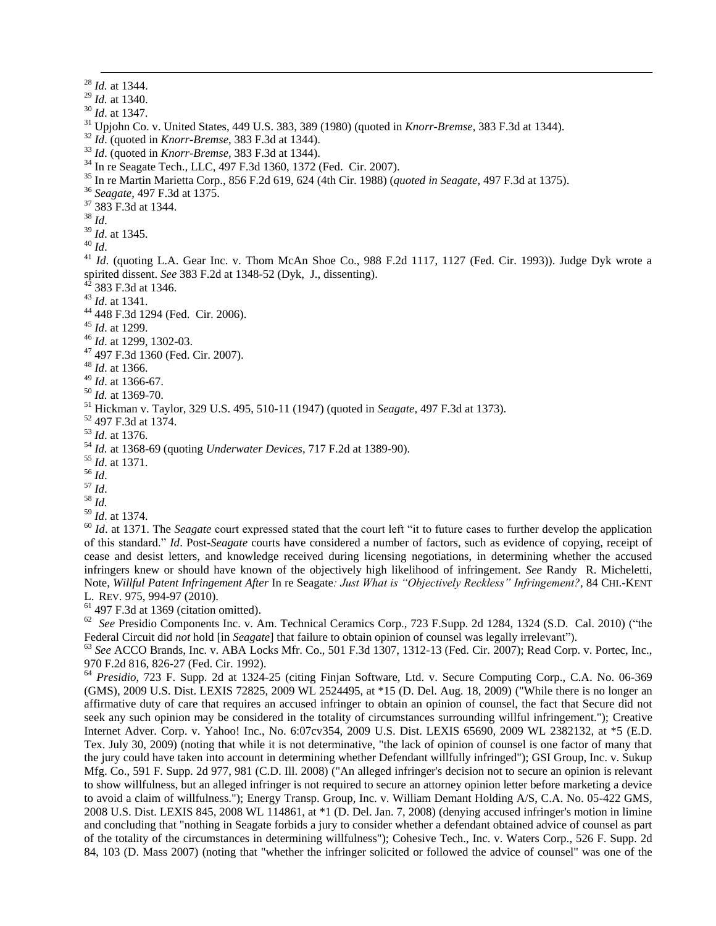*Id.* at 1344. *Id.* at 1340. *Id*. at 1347. Upjohn Co. v. United States, 449 U.S. 383, 389 (1980) (quoted in *Knorr-Bremse*, 383 F.3d at 1344). *Id*. (quoted in *Knorr-Bremse*, 383 F.3d at 1344). *Id*. (quoted in *Knorr-Bremse*, 383 F.3d at 1344). In re Seagate Tech., LLC, 497 F.3d 1360, 1372 (Fed. Cir. 2007). In re Martin Marietta Corp., 856 F.2d 619, 624 (4th Cir. 1988) (*quoted in Seagate*, 497 F.3d at 1375). *Seagate*, 497 F.3d at 1375. 383 F.3d at 1344. <sup>38</sup> *Id*. *Id*. at 1345. <sup>40</sup> *Id*. <sup>41</sup> *Id.* (quoting L.A. Gear Inc. v. Thom McAn Shoe Co., 988 F.2d 1117, 1127 (Fed. Cir. 1993)). Judge Dyk wrote a spirited dissent. *See* 383 F.2d at 1348-52 (Dyk, J., dissenting). 383 F.3d at 1346. *Id*. at 1341. 448 F.3d 1294 (Fed. Cir. 2006). *Id*. at 1299. *Id*. at 1299, 1302-03. 497 F.3d 1360 (Fed. Cir. 2007). *Id*. at 1366. *Id*. at 1366-67. *Id.* at 1369-70. Hickman v. Taylor, 329 U.S. 495, 510-11 (1947) (quoted in *Seagate*, 497 F.3d at 1373). 497 F.3d at 1374. *Id*. at 1376. *Id.* at 1368-69 (quoting *Underwater Devices*, 717 F.2d at 1389-90). *Id*. at 1371. <sup>56</sup> *Id*.  $57$  *Id.*  $^{58}\,$   $ld.$  *Id*. at 1374. <sup>60</sup> *Id.* at 1371. The *Seagate* court expressed stated that the court left "it to future cases to further develop the application of this standard.‖ *Id*. Post-*Seagate* courts have considered a number of factors, such as evidence of copying, receipt of cease and desist letters, and knowledge received during licensing negotiations, in determining whether the accused infringers knew or should have known of the objectively high likelihood of infringement. *See* Randy R. Micheletti,

Note, *Willful Patent Infringement After* In re Seagate*: Just What is "Objectively Reckless" Infringement?*, 84 CHI.-KENT L. REV. 975, 994-97 (2010).

 $<sup>61</sup>$  497 F.3d at 1369 (citation omitted).</sup>

1

<sup>62</sup> See Presidio Components Inc. v. Am. Technical Ceramics Corp., 723 F.Supp. 2d 1284, 1324 (S.D. Cal. 2010) ("the Federal Circuit did *not* hold [in *Seagate*] that failure to obtain opinion of counsel was legally irrelevant").

<sup>63</sup> *See* ACCO Brands, Inc. v. ABA Locks Mfr. Co., 501 F.3d 1307, 1312-13 (Fed. Cir. 2007); Read Corp. v. Portec, Inc., 970 F.2d 816, 826-27 (Fed. Cir. 1992).

<sup>64</sup> *Presidio*, 723 F. Supp. 2d at 1324-25 (citing Finjan Software, Ltd. v. Secure Computing Corp., C.A. No. 06-369 (GMS), 2009 U.S. Dist. LEXIS 72825, 2009 WL 2524495, at \*15 (D. Del. Aug. 18, 2009) ("While there is no longer an affirmative duty of care that requires an accused infringer to obtain an opinion of counsel, the fact that Secure did not seek any such opinion may be considered in the totality of circumstances surrounding willful infringement."); Creative Internet Adver. Corp. v. Yahoo! Inc., No. 6:07cv354, 2009 U.S. Dist. LEXIS 65690, 2009 WL 2382132, at \*5 (E.D. Tex. July 30, 2009) (noting that while it is not determinative, "the lack of opinion of counsel is one factor of many that the jury could have taken into account in determining whether Defendant willfully infringed"); GSI Group, Inc. v. Sukup Mfg. Co., 591 F. Supp. 2d 977, 981 (C.D. Ill. 2008) ("An alleged infringer's decision not to secure an opinion is relevant to show willfulness, but an alleged infringer is not required to secure an attorney opinion letter before marketing a device to avoid a claim of willfulness."); Energy Transp. Group, Inc. v. William Demant Holding A/S, C.A. No. 05-422 GMS, 2008 U.S. Dist. LEXIS 845, 2008 WL 114861, at \*1 (D. Del. Jan. 7, 2008) (denying accused infringer's motion in limine and concluding that "nothing in Seagate forbids a jury to consider whether a defendant obtained advice of counsel as part of the totality of the circumstances in determining willfulness"); Cohesive Tech., Inc. v. Waters Corp., 526 F. Supp. 2d 84, 103 (D. Mass 2007) (noting that "whether the infringer solicited or followed the advice of counsel" was one of the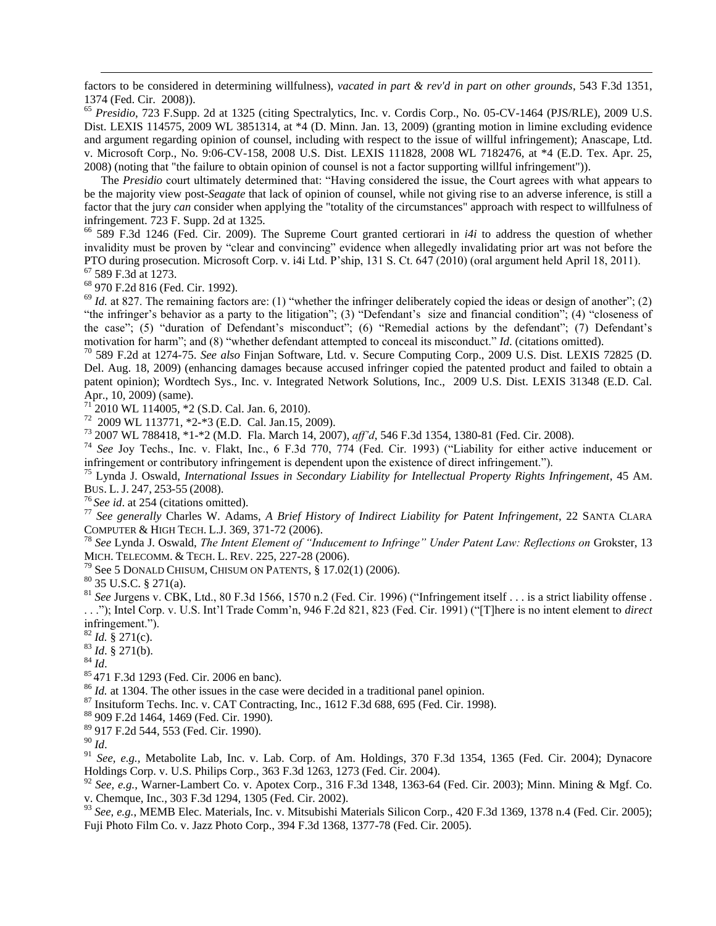factors to be considered in determining willfulness), *vacated in part & rev'd in part on other grounds*, 543 F.3d 1351, 1374 (Fed. Cir. 2008)).

<sup>65</sup> *Presidio*, 723 F.Supp. 2d at 1325 (citing Spectralytics, Inc. v. Cordis Corp., No. 05-CV-1464 (PJS/RLE), 2009 U.S. Dist. LEXIS 114575, 2009 WL 3851314, at \*4 (D. Minn. Jan. 13, 2009) (granting motion in limine excluding evidence and argument regarding opinion of counsel, including with respect to the issue of willful infringement); Anascape, Ltd. v. Microsoft Corp., No. 9:06-CV-158, 2008 U.S. Dist. LEXIS 111828, 2008 WL 7182476, at \*4 (E.D. Tex. Apr. 25, 2008) (noting that "the failure to obtain opinion of counsel is not a factor supporting willful infringement")).

The *Presidio* court ultimately determined that: "Having considered the issue, the Court agrees with what appears to be the majority view post-*Seagate* that lack of opinion of counsel, while not giving rise to an adverse inference, is still a factor that the jury *can* consider when applying the "totality of the circumstances" approach with respect to willfulness of infringement. 723 F. Supp. 2d at 1325.

 $^{66}$  589 F.3d 1246 (Fed. Cir. 2009). The Supreme Court granted certiorari in *i4i* to address the question of whether invalidity must be proven by "clear and convincing" evidence when allegedly invalidating prior art was not before the PTO during prosecution. Microsoft Corp. v. i4i Ltd. P'ship, 131 S. Ct. 647 (2010) (oral argument held April 18, 2011). <sup>67</sup> 589 F.3d at 1273.

<sup>68</sup> 970 F.2d 816 (Fed. Cir. 1992).

1

 $69$  *Id.* at 827. The remaining factors are: (1) "whether the infringer deliberately copied the ideas or design of another"; (2) "the infringer's behavior as a party to the litigation"; (3) "Defendant's size and financial condition"; (4) "closeness of the case"; (5) "duration of Defendant's misconduct"; (6) "Remedial actions by the defendant"; (7) Defendant's motivation for harm"; and (8) "whether defendant attempted to conceal its misconduct." *Id.* (citations omitted).

<sup>70</sup> 589 F.2d at 1274-75. *See also* Finjan Software, Ltd. v. Secure Computing Corp., 2009 U.S. Dist. LEXIS 72825 (D. Del. Aug. 18, 2009) (enhancing damages because accused infringer copied the patented product and failed to obtain a patent opinion); Wordtech Sys., Inc. v. Integrated Network Solutions, Inc., 2009 U.S. Dist. LEXIS 31348 (E.D. Cal. Apr., 10, 2009) (same).

<sup>71</sup> 2010 WL 114005, \*2 (S.D. Cal. Jan. 6, 2010).

72 2009 WL 113771, \*2-\*3 (E.D. Cal. Jan.15, 2009).

<sup>73</sup> 2007 WL 788418, \*1-\*2 (M.D. Fla. March 14, 2007), *aff'd*, 546 F.3d 1354, 1380-81 (Fed. Cir. 2008).

<sup>74</sup> See Joy Techs., Inc. v. Flakt, Inc., 6 F.3d 770, 774 (Fed. Cir. 1993) ("Liability for either active inducement or infringement or contributory infringement is dependent upon the existence of direct infringement.").

<sup>75</sup> Lynda J. Oswald, *International Issues in Secondary Liability for Intellectual Property Rights Infringement*, 45 AM. BUS. L. J. 247, 253-55 (2008).

<sup>76</sup> *See id*. at 254 (citations omitted).

<sup>77</sup> *See generally* Charles W. Adams, *A Brief History of Indirect Liability for Patent Infringement*, 22 SANTA CLARA COMPUTER & HIGH TECH. L.J. 369, 371-72 (2006).

<sup>78</sup> *See* Lynda J. Oswald, *The Intent Element of "Inducement to Infringe" Under Patent Law: Reflections on* Grokster, 13 MICH. TELECOMM. & TECH. L. REV. 225, 227-28 (2006).

<sup>79</sup> See 5 DONALD CHISUM, CHISUM ON PATENTS,  $\S$  17.02(1) (2006).

<sup>80</sup> 35 U.S.C. § 271(a).

 $81$  *See Jurgens v. CBK, Ltd., 80 F.3d 1566, 1570 n.2 (Fed. Cir. 1996) ("Infringement itself . . . is a strict liability offense.* ..."); Intel Corp. v. U.S. Int'l Trade Comm'n, 946 F.2d 821, 823 (Fed. Cir. 1991) ("[T]here is no intent element to *direct* infringement.").

<sup>82</sup> *Id.* § 271(c).

<sup>83</sup> *Id*. § 271(b).

<sup>84</sup> *Id*.

<sup>85</sup> 471 F.3d 1293 (Fed. Cir. 2006 en banc).

<sup>86</sup> *Id.* at 1304. The other issues in the case were decided in a traditional panel opinion.

 $87$  Insituform Techs. Inc. v. CAT Contracting, Inc., 1612 F.3d 688, 695 (Fed. Cir. 1998).

<sup>88</sup> 909 F.2d 1464, 1469 (Fed. Cir. 1990).

<sup>89</sup> 917 F.2d 544, 553 (Fed. Cir. 1990).

<sup>90</sup> *Id*.

<sup>91</sup> *See, e.g., Metabolite Lab, Inc. v. Lab. Corp. of Am. Holdings, 370 F.3d 1354, 1365 (Fed. Cir. 2004); Dynacore* Holdings Corp. v. U.S. Philips Corp., 363 F.3d 1263, 1273 (Fed. Cir. 2004).

<sup>92</sup> *See, e.g.*, Warner-Lambert Co. v. Apotex Corp., 316 F.3d 1348, 1363-64 (Fed. Cir. 2003); Minn. Mining & Mgf. Co. v. Chemque, Inc., 303 F.3d 1294, 1305 (Fed. Cir. 2002).

<sup>93</sup> See, e.g., MEMB Elec. Materials, Inc. v. Mitsubishi Materials Silicon Corp., 420 F.3d 1369, 1378 n.4 (Fed. Cir. 2005); Fuji Photo Film Co. v. Jazz Photo Corp., 394 F.3d 1368, 1377-78 (Fed. Cir. 2005).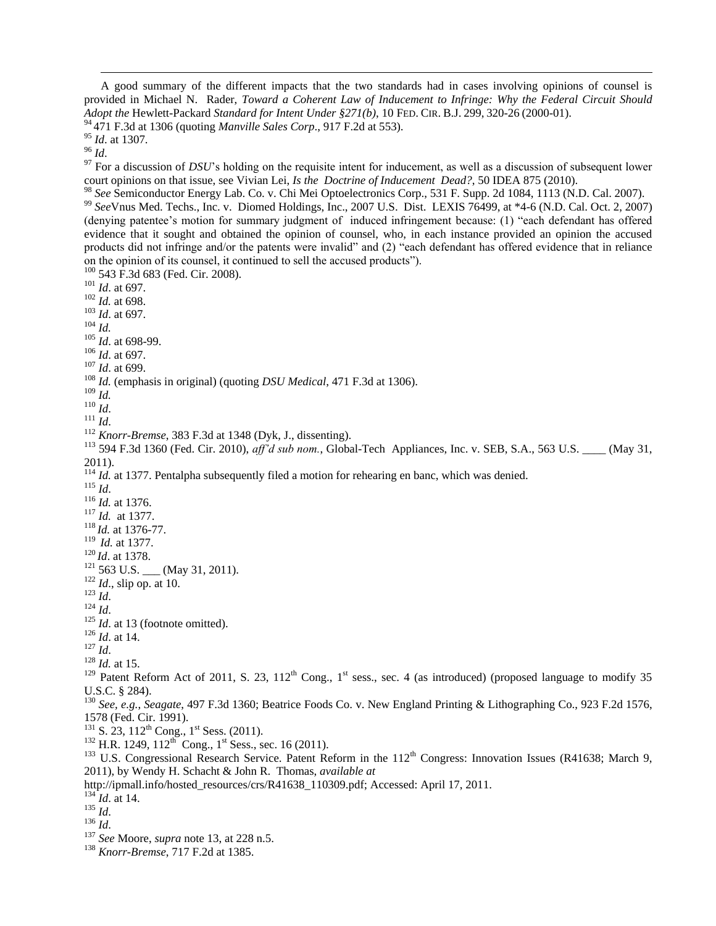A good summary of the different impacts that the two standards had in cases involving opinions of counsel is provided in Michael N. Rader, *Toward a Coherent Law of Inducement to Infringe: Why the Federal Circuit Should Adopt the* Hewlett-Packard *Standard for Intent Under §271(b)*, 10 FED. CIR. B.J. 299, 320-26 (2000-01). 471 F.3d at 1306 (quoting *Manville Sales Corp*., 917 F.2d at 553).

*Id*. at 1307.

*Id*.

<sup>97</sup> For a discussion of *DSU*'s holding on the requisite intent for inducement, as well as a discussion of subsequent lower court opinions on that issue, see Vivian Lei, *Is the Doctrine of Inducement Dead?*, 50 IDEA 875 (2010).

 *See* Semiconductor Energy Lab. Co. v. Chi Mei Optoelectronics Corp., 531 F. Supp. 2d 1084, 1113 (N.D. Cal. 2007). *See*Vnus Med. Techs., Inc. v. Diomed Holdings, Inc., 2007 U.S. Dist. LEXIS 76499, at \*4-6 (N.D. Cal. Oct. 2, 2007) (denying patentee's motion for summary judgment of induced infringement because: (1) "each defendant has offered evidence that it sought and obtained the opinion of counsel, who, in each instance provided an opinion the accused products did not infringe and/or the patents were invalid" and (2) "each defendant has offered evidence that in reliance on the opinion of its counsel, it continued to sell the accused products").

 543 F.3d 683 (Fed. Cir. 2008). *Id*. at 697. *Id.* at 698. *Id*. at 697. *Id. Id*. at 698-99. *Id*. at 697. *Id*. at 699. *Id.* (emphasis in original) (quoting *DSU Medical*, 471 F.3d at 1306). *Id. Id*. *Id*. *Knorr-Bremse*, 383 F.3d at 1348 (Dyk, J., dissenting). <sup>113</sup> 594 F.3d 1360 (Fed. Cir. 2010),  $\frac{af}{d}$  sub nom., Global-Tech Appliances, Inc. v. SEB, S.A., 563 U.S. (May 31, 2011). <sup>114</sup> *Id.* at 1377. Pentalpha subsequently filed a motion for rehearing en banc, which was denied. *Id*. *Id.* at 1376. *Id.* at 1377. *Id.* at 1376-77. *Id.* at 1377. *Id*. at 1378. 563 U.S. (May 31, 2011). *Id*., slip op. at 10. *Id*. *Id*. <sup>125</sup> *Id.* at 13 (footnote omitted). *Id*. at 14. *Id*. *Id.* at 15. <sup>129</sup> Patent Reform Act of 2011, S. 23, 112<sup>th</sup> Cong., 1<sup>st</sup> sess., sec. 4 (as introduced) (proposed language to modify 35 U.S.C. § 284). *See, e.g.*, *Seagate*, 497 F.3d 1360; Beatrice Foods Co. v. New England Printing & Lithographing Co., 923 F.2d 1576, 1578 (Fed. Cir. 1991). S. 23,  $112^{th}$  Cong.,  $1^{st}$  Sess. (2011). H.R. 1249, 112<sup>th</sup> Cong., 1<sup>st</sup> Sess., sec. 16 (2011). <sup>133</sup> U.S. Congressional Research Service. Patent Reform in the 112<sup>th</sup> Congress: Innovation Issues (R41638; March 9, 2011), by Wendy H. Schacht & John R. Thomas, *available at* http://ipmall.info/hosted\_resources/crs/R41638\_110309.pdf; Accessed: April 17, 2011.

*Id*. at 14.

*Id*.

- *Id*.
- *See* Moore, *supra* note 13, at 228 n.5.
- *Knorr-Bremse*, 717 F.2d at 1385.